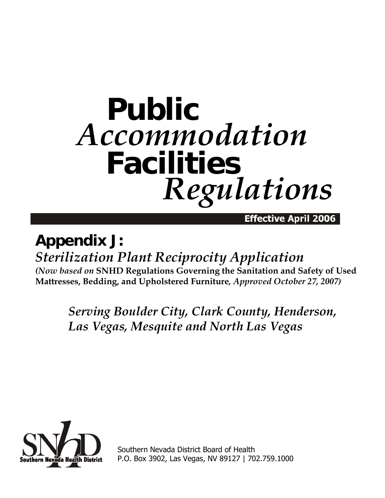# **Public** *Accommodation* **Facilities** *Regulations*

Effective April 2006

## **Appendix J:**

*Sterilization Plant Reciprocity Application* 

*(Now based on* **SNHD Regulations Governing the Sanitation and Safety of Used Mattresses, Bedding, and Upholstered Furniture***, Approved October 27, 2007)*

> *Serving Boulder City, Clark County, Henderson, Las Vegas, Mesquite and North Las Vegas*



Southern Nevada District Board of Health P.O. Box 3902, Las Vegas, NV 89127 | 702.759.1000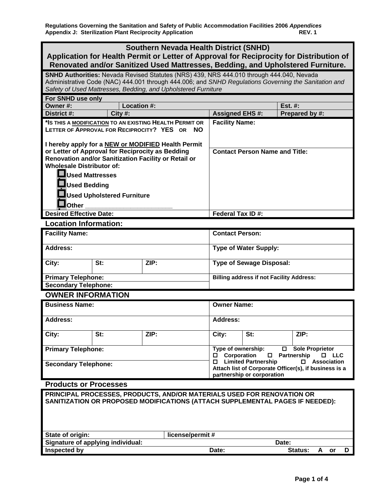**Regulations Governing the Sanitation and Safety of Public Accommodation Facilities 2006** *Appendices* **Appendix J: Sterilization Plant Reciprocity Application** 

| <b>Southern Nevada Health District (SNHD)</b>                                                                                                                                                                                                                     |                                                                                                                                    |
|-------------------------------------------------------------------------------------------------------------------------------------------------------------------------------------------------------------------------------------------------------------------|------------------------------------------------------------------------------------------------------------------------------------|
| Application for Health Permit or Letter of Approval for Reciprocity for Distribution of<br>Renovated and/or Sanitized Used Mattresses, Bedding, and Upholstered Furniture.                                                                                        |                                                                                                                                    |
| SNHD Authorities: Nevada Revised Statutes (NRS) 439, NRS 444.010 through 444.040, Nevada<br>Administrative Code (NAC) 444.001 through 444.006; and SNHD Regulations Governing the Sanitation and<br>Safety of Used Mattresses, Bedding, and Upholstered Furniture |                                                                                                                                    |
| For SNHD use only                                                                                                                                                                                                                                                 |                                                                                                                                    |
| <b>Location #:</b><br>Owner #:                                                                                                                                                                                                                                    | Est. #:                                                                                                                            |
| District #:<br>City #:                                                                                                                                                                                                                                            | <b>Assigned EHS #:</b><br>Prepared by #:                                                                                           |
| *IS THIS A MODIFICATION TO AN EXISTING HEALTH PERMIT OR<br>LETTER OF APPROVAL FOR RECIPROCITY? YES OR                                                                                                                                                             | <b>Facility Name:</b><br>NO.                                                                                                       |
| I hereby apply for a NEW or MODIFIED Health Permit<br>or Letter of Approval for Reciprocity as Bedding<br>Renovation and/or Sanitization Facility or Retail or<br><b>Wholesale Distributor of:</b><br>$\blacksquare$ Used Mattresses<br>Used Bedding              | <b>Contact Person Name and Title:</b>                                                                                              |
| <b>Used Upholstered Furniture</b><br>Other                                                                                                                                                                                                                        |                                                                                                                                    |
| <b>Desired Effective Date:</b>                                                                                                                                                                                                                                    | Federal Tax ID#:                                                                                                                   |
| <b>Location Information:</b>                                                                                                                                                                                                                                      |                                                                                                                                    |
| <b>Facility Name:</b>                                                                                                                                                                                                                                             | <b>Contact Person:</b>                                                                                                             |
| <b>Address:</b>                                                                                                                                                                                                                                                   | <b>Type of Water Supply:</b>                                                                                                       |
| ZIP:<br>City:<br>St:                                                                                                                                                                                                                                              | <b>Type of Sewage Disposal:</b>                                                                                                    |
| <b>Primary Telephone:</b>                                                                                                                                                                                                                                         | <b>Billing address if not Facility Address:</b>                                                                                    |
| <b>Secondary Telephone:</b>                                                                                                                                                                                                                                       |                                                                                                                                    |
| <b>OWNER INFORMATION</b>                                                                                                                                                                                                                                          |                                                                                                                                    |
| <b>Business Name:</b>                                                                                                                                                                                                                                             | <b>Owner Name:</b>                                                                                                                 |
| <b>Address:</b>                                                                                                                                                                                                                                                   | <b>Address:</b>                                                                                                                    |
| St:<br>ZIP:<br>City:                                                                                                                                                                                                                                              | St:<br>ZIP:<br>City:                                                                                                               |
| <b>Primary Telephone:</b>                                                                                                                                                                                                                                         | Type of ownership:<br><b>Sole Proprietor</b><br>0<br>$\Box$ Corporation<br>Partnership<br>O LLC                                    |
| <b>Secondary Telephone:</b>                                                                                                                                                                                                                                       | <b>Limited Partnership</b><br>□ Association<br>Attach list of Corporate Officer(s), if business is a<br>partnership or corporation |
| <b>Products or Processes</b>                                                                                                                                                                                                                                      |                                                                                                                                    |
| PRINCIPAL PROCESSES, PRODUCTS, AND/OR MATERIALS USED FOR RENOVATION OR<br>SANITIZATION OR PROPOSED MODIFICATIONS (ATTACH SUPPLEMENTAL PAGES IF NEEDED):                                                                                                           |                                                                                                                                    |
| State of origin:<br>license/permit#                                                                                                                                                                                                                               |                                                                                                                                    |
| Signature of applying individual:                                                                                                                                                                                                                                 | Date:                                                                                                                              |
| Inspected by                                                                                                                                                                                                                                                      | Date:<br>Status:<br>D<br>A or                                                                                                      |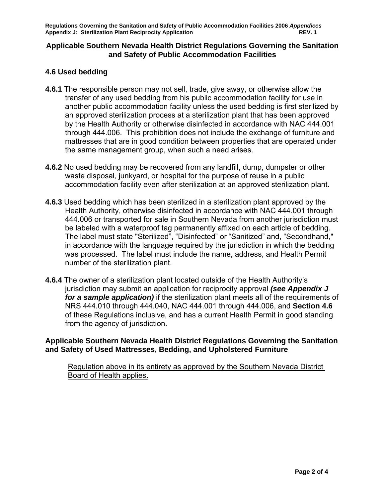#### **Applicable Southern Nevada Health District Regulations Governing the Sanitation and Safety of Public Accommodation Facilities**

#### **4.6 Used bedding**

- **4.6.1** The responsible person may not sell, trade, give away, or otherwise allow the transfer of any used bedding from his public accommodation facility for use in another public accommodation facility unless the used bedding is first sterilized by an approved sterilization process at a sterilization plant that has been approved by the Health Authority or otherwise disinfected in accordance with NAC 444.001 through 444.006. This prohibition does not include the exchange of furniture and mattresses that are in good condition between properties that are operated under the same management group, when such a need arises.
- **4.6.2** No used bedding may be recovered from any landfill, dump, dumpster or other waste disposal, junkyard, or hospital for the purpose of reuse in a public accommodation facility even after sterilization at an approved sterilization plant.
- **4.6.3** Used bedding which has been sterilized in a sterilization plant approved by the Health Authority, otherwise disinfected in accordance with NAC 444.001 through 444.006 or transported for sale in Southern Nevada from another jurisdiction must be labeled with a waterproof tag permanently affixed on each article of bedding. The label must state "Sterilized", "Disinfected" or "Sanitized" and, "Secondhand," in accordance with the language required by the jurisdiction in which the bedding was processed. The label must include the name, address, and Health Permit number of the sterilization plant.
- **4.6.4** The owner of a sterilization plant located outside of the Health Authority's jurisdiction may submit an application for reciprocity approval *(see Appendix J for a sample application)* if the sterilization plant meets all of the requirements of NRS 444.010 through 444.040, NAC 444.001 through 444.006, and **Section 4.6** of these Regulations inclusive, and has a current Health Permit in good standing from the agency of jurisdiction.

**Applicable Southern Nevada Health District Regulations Governing the Sanitation and Safety of Used Mattresses, Bedding, and Upholstered Furniture** 

Regulation above in its entirety as approved by the Southern Nevada District Board of Health applies.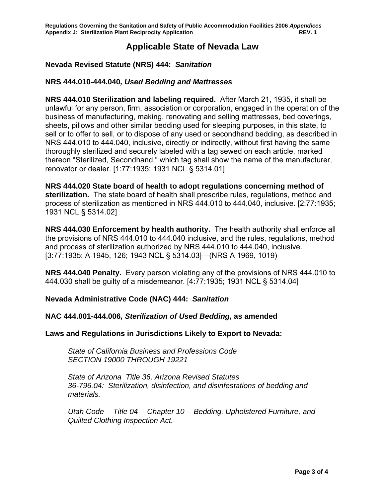### **Applicable State of Nevada Law**

#### **Nevada Revised Statute (NRS) 444:** *Sanitation*

#### **NRS 444.010-444.040***, Used Bedding and Mattresses*

**NRS 444.010 Sterilization and labeling required.** After March 21, 1935, it shall be unlawful for any person, firm, association or corporation, engaged in the operation of the business of manufacturing, making, renovating and selling mattresses, bed coverings, sheets, pillows and other similar bedding used for sleeping purposes, in this state, to sell or to offer to sell, or to dispose of any used or secondhand bedding, as described in NRS 444.010 to 444.040, inclusive, directly or indirectly, without first having the same thoroughly sterilized and securely labeled with a tag sewed on each article, marked thereon "Sterilized, Secondhand," which tag shall show the name of the manufacturer, renovator or dealer. [1:77:1935; 1931 NCL § 5314.01]

**NRS 444.020 State board of health to adopt regulations concerning method of sterilization.** The state board of health shall prescribe rules, regulations, method and process of sterilization as mentioned in NRS 444.010 to 444.040, inclusive. [2:77:1935; 1931 NCL § 5314.02]

**NRS 444.030 Enforcement by health authority.** The health authority shall enforce all the provisions of NRS 444.010 to 444.040 inclusive, and the rules, regulations, method and process of sterilization authorized by NRS 444.010 to 444.040, inclusive. [3:77:1935; A 1945, 126; 1943 NCL § 5314.03]—(NRS A 1969, 1019)

**NRS 444.040 Penalty.** Every person violating any of the provisions of NRS 444.010 to 444.030 shall be guilty of a misdemeanor. [4:77:1935; 1931 NCL § 5314.04]

#### **Nevada Administrative Code (NAC) 444:** *Sanitation*

#### **NAC 444.001-444.006***, Sterilization of Used Bedding***, as amended**

#### **Laws and Regulations in Jurisdictions Likely to Export to Nevada:**

*State of California Business and Professions Code SECTION 19000 THROUGH 19221* 

*State of Arizona Title 36, Arizona Revised Statutes 36-796.04: Sterilization, disinfection, and disinfestations of bedding and materials.* 

*Utah Code -- Title 04 -- Chapter 10 -- Bedding, Upholstered Furniture, and Quilted Clothing Inspection Act.*